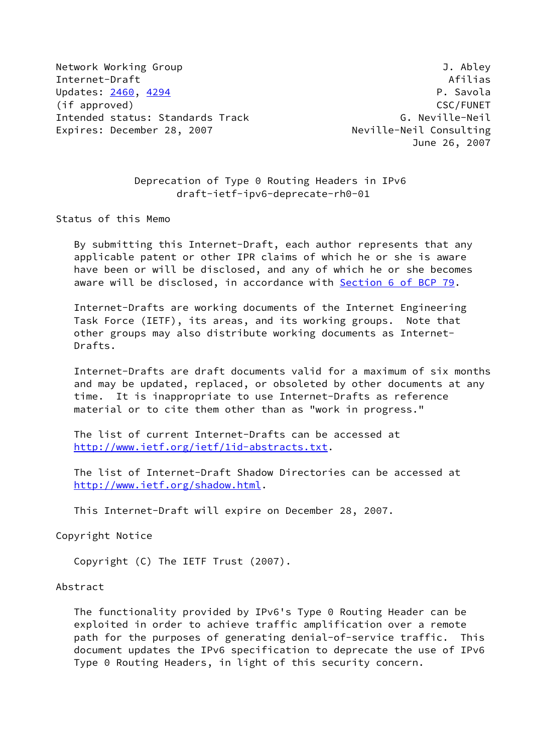Network Working Group **J. Abley** Internet-Draft Afilias Updates: [2460](https://datatracker.ietf.org/doc/pdf/rfc2460), [4294](https://datatracker.ietf.org/doc/pdf/rfc4294) P. Savola (if approved) CSC/FUNET Intended status: Standards Track G. Neville-Neil Expires: December 28, 2007 Neville-Neil Consulting

June 26, 2007

 Deprecation of Type 0 Routing Headers in IPv6 draft-ietf-ipv6-deprecate-rh0-01

Status of this Memo

 By submitting this Internet-Draft, each author represents that any applicable patent or other IPR claims of which he or she is aware have been or will be disclosed, and any of which he or she becomes aware will be disclosed, in accordance with Section [6 of BCP 79.](https://datatracker.ietf.org/doc/pdf/bcp79#section-6)

 Internet-Drafts are working documents of the Internet Engineering Task Force (IETF), its areas, and its working groups. Note that other groups may also distribute working documents as Internet- Drafts.

 Internet-Drafts are draft documents valid for a maximum of six months and may be updated, replaced, or obsoleted by other documents at any time. It is inappropriate to use Internet-Drafts as reference material or to cite them other than as "work in progress."

 The list of current Internet-Drafts can be accessed at <http://www.ietf.org/ietf/1id-abstracts.txt>.

 The list of Internet-Draft Shadow Directories can be accessed at <http://www.ietf.org/shadow.html>.

This Internet-Draft will expire on December 28, 2007.

Copyright Notice

Copyright (C) The IETF Trust (2007).

Abstract

 The functionality provided by IPv6's Type 0 Routing Header can be exploited in order to achieve traffic amplification over a remote path for the purposes of generating denial-of-service traffic. This document updates the IPv6 specification to deprecate the use of IPv6 Type 0 Routing Headers, in light of this security concern.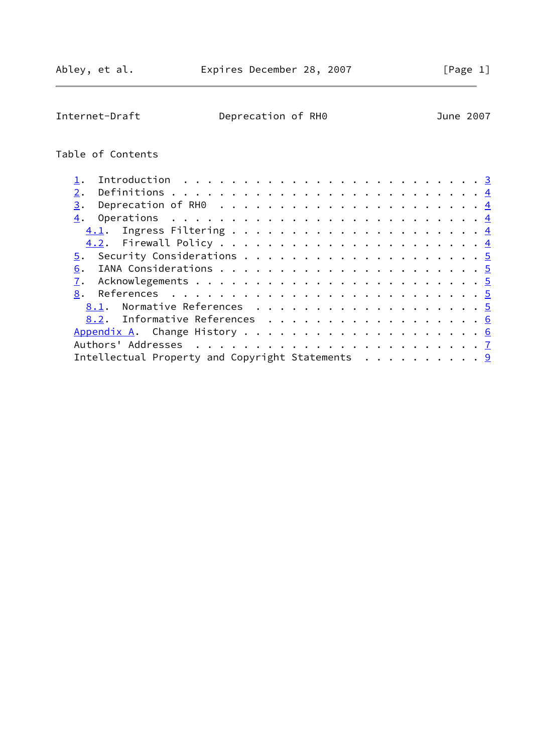Internet-Draft Deprecation of RH0 June 2007

# Table of Contents

| 2.                                                                               |  |
|----------------------------------------------------------------------------------|--|
| Deprecation of RH0 $\dots \dots \dots \dots \dots \dots \dots \dots \dots$<br>3. |  |
|                                                                                  |  |
|                                                                                  |  |
|                                                                                  |  |
|                                                                                  |  |
| 6.                                                                               |  |
|                                                                                  |  |
|                                                                                  |  |
| <u>8.1</u> . Normative References <u>5</u>                                       |  |
| 8.2. Informative References 6                                                    |  |
|                                                                                  |  |
|                                                                                  |  |
| Intellectual Property and Copyright Statements $\dots \dots \dots$               |  |
|                                                                                  |  |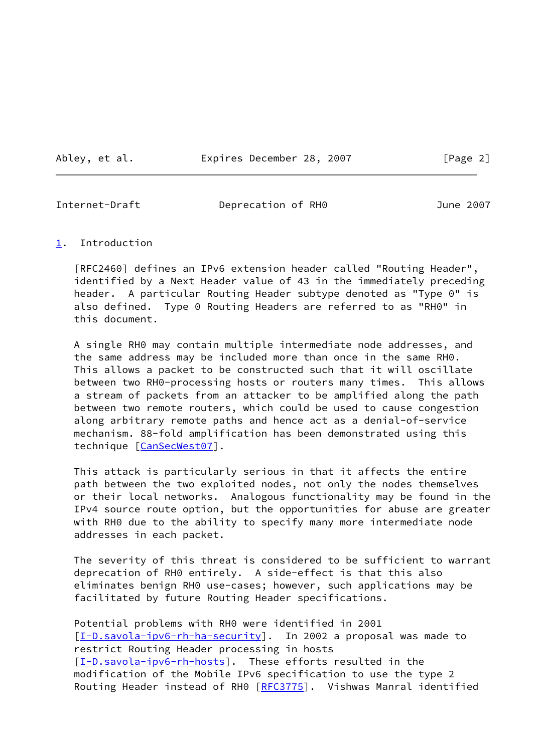Abley, et al. **Expires December 28, 2007** [Page 2]

<span id="page-2-1"></span>Internet-Draft Deprecation of RH0 June 2007

### <span id="page-2-0"></span>[1](#page-2-0). Introduction

 [RFC2460] defines an IPv6 extension header called "Routing Header", identified by a Next Header value of 43 in the immediately preceding header. A particular Routing Header subtype denoted as "Type 0" is also defined. Type 0 Routing Headers are referred to as "RH0" in this document.

 A single RH0 may contain multiple intermediate node addresses, and the same address may be included more than once in the same RH0. This allows a packet to be constructed such that it will oscillate between two RH0-processing hosts or routers many times. This allows a stream of packets from an attacker to be amplified along the path between two remote routers, which could be used to cause congestion along arbitrary remote paths and hence act as a denial-of-service mechanism. 88-fold amplification has been demonstrated using this technique [[CanSecWest07\]](#page-5-6).

 This attack is particularly serious in that it affects the entire path between the two exploited nodes, not only the nodes themselves or their local networks. Analogous functionality may be found in the IPv4 source route option, but the opportunities for abuse are greater with RH0 due to the ability to specify many more intermediate node addresses in each packet.

 The severity of this threat is considered to be sufficient to warrant deprecation of RH0 entirely. A side-effect is that this also eliminates benign RH0 use-cases; however, such applications may be facilitated by future Routing Header specifications.

 Potential problems with RH0 were identified in 2001 [\[I-D.savola-ipv6-rh-ha-security](#page-6-2)]. In 2002 a proposal was made to restrict Routing Header processing in hosts [\[I-D.savola-ipv6-rh-hosts](#page-6-3)]. These efforts resulted in the modification of the Mobile IPv6 specification to use the type 2 Routing Header instead of RH0 [[RFC3775](https://datatracker.ietf.org/doc/pdf/rfc3775)]. Vishwas Manral identified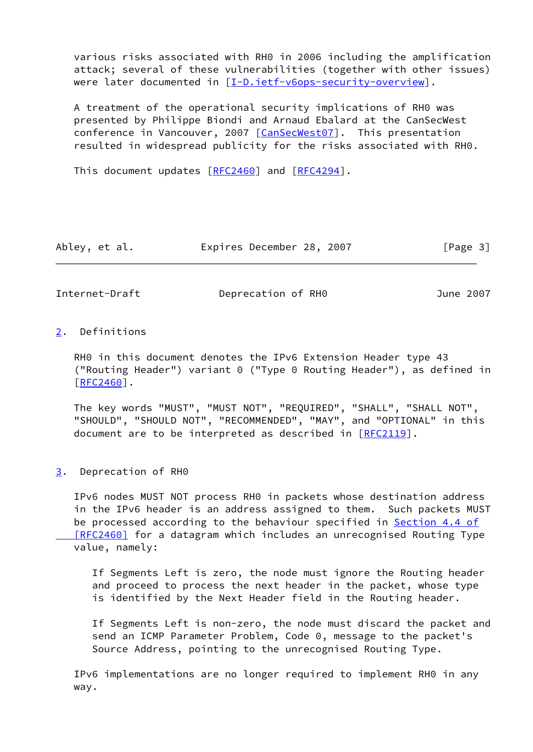various risks associated with RH0 in 2006 including the amplification attack; several of these vulnerabilities (together with other issues) were later documented in [\[I-D.ietf-v6ops-security-overview](#page-5-7)].

 A treatment of the operational security implications of RH0 was presented by Philippe Biondi and Arnaud Ebalard at the CanSecWest conference in Vancouver, 2007 [[CanSecWest07\]](#page-5-6). This presentation resulted in widespread publicity for the risks associated with RH0.

This document updates [[RFC2460](https://datatracker.ietf.org/doc/pdf/rfc2460)] and [\[RFC4294](https://datatracker.ietf.org/doc/pdf/rfc4294)].

| Abley, et al. | Expires December 28, 2007 |  |  | [Page 3] |
|---------------|---------------------------|--|--|----------|
|---------------|---------------------------|--|--|----------|

<span id="page-3-1"></span>Internet-Draft Deprecation of RH0 June 2007

# <span id="page-3-0"></span>[2](#page-3-0). Definitions

 RH0 in this document denotes the IPv6 Extension Header type 43 ("Routing Header") variant 0 ("Type 0 Routing Header"), as defined in [\[RFC2460](https://datatracker.ietf.org/doc/pdf/rfc2460)].

 The key words "MUST", "MUST NOT", "REQUIRED", "SHALL", "SHALL NOT", "SHOULD", "SHOULD NOT", "RECOMMENDED", "MAY", and "OPTIONAL" in this document are to be interpreted as described in [\[RFC2119](https://datatracker.ietf.org/doc/pdf/rfc2119)].

<span id="page-3-2"></span>[3](#page-3-2). Deprecation of RH0

 IPv6 nodes MUST NOT process RH0 in packets whose destination address in the IPv6 header is an address assigned to them. Such packets MUST be processed according to the behaviour specified in [Section](https://datatracker.ietf.org/doc/pdf/rfc2460#section-4.4) 4.4 of [RFC2460] for a datagram which includes an unrecognised Routing Type value, namely:

 If Segments Left is zero, the node must ignore the Routing header and proceed to process the next header in the packet, whose type is identified by the Next Header field in the Routing header.

 If Segments Left is non-zero, the node must discard the packet and send an ICMP Parameter Problem, Code 0, message to the packet's Source Address, pointing to the unrecognised Routing Type.

 IPv6 implementations are no longer required to implement RH0 in any way.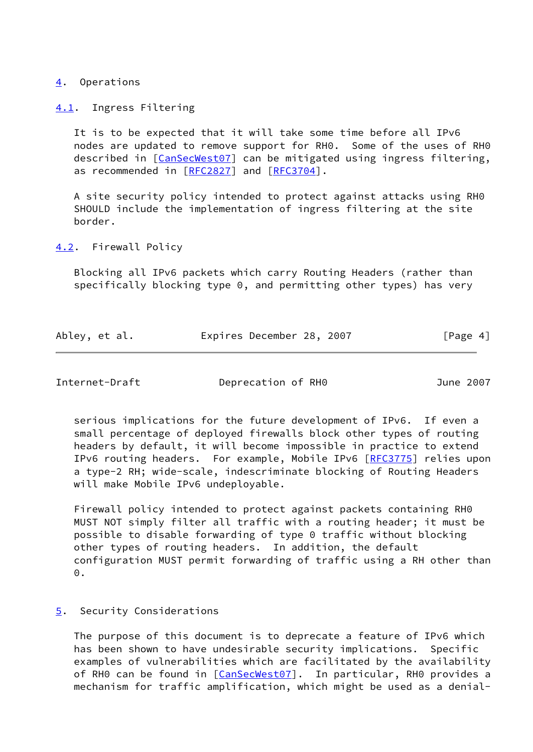#### <span id="page-4-0"></span>[4](#page-4-0). Operations

<span id="page-4-1"></span>[4.1](#page-4-1). Ingress Filtering

 It is to be expected that it will take some time before all IPv6 nodes are updated to remove support for RH0. Some of the uses of RH0 described in [\[CanSecWest07](#page-5-6)] can be mitigated using ingress filtering, as recommended in [[RFC2827](https://datatracker.ietf.org/doc/pdf/rfc2827)] and [\[RFC3704](https://datatracker.ietf.org/doc/pdf/rfc3704)].

 A site security policy intended to protect against attacks using RH0 SHOULD include the implementation of ingress filtering at the site border.

<span id="page-4-2"></span>[4.2](#page-4-2). Firewall Policy

 Blocking all IPv6 packets which carry Routing Headers (rather than specifically blocking type 0, and permitting other types) has very

| Abley, et al. | Expires December 28, 2007 | [Page 4] |
|---------------|---------------------------|----------|
|---------------|---------------------------|----------|

<span id="page-4-4"></span>Internet-Draft Deprecation of RH0 June 2007

 serious implications for the future development of IPv6. If even a small percentage of deployed firewalls block other types of routing headers by default, it will become impossible in practice to extend IPv6 routing headers. For example, Mobile IPv6 [\[RFC3775](https://datatracker.ietf.org/doc/pdf/rfc3775)] relies upon a type-2 RH; wide-scale, indescriminate blocking of Routing Headers will make Mobile IPv6 undeployable.

 Firewall policy intended to protect against packets containing RH0 MUST NOT simply filter all traffic with a routing header; it must be possible to disable forwarding of type 0 traffic without blocking other types of routing headers. In addition, the default configuration MUST permit forwarding of traffic using a RH other than 0.

## <span id="page-4-3"></span>[5](#page-4-3). Security Considerations

 The purpose of this document is to deprecate a feature of IPv6 which has been shown to have undesirable security implications. Specific examples of vulnerabilities which are facilitated by the availability of RH0 can be found in [\[CanSecWest07](#page-5-6)]. In particular, RH0 provides a mechanism for traffic amplification, which might be used as a denial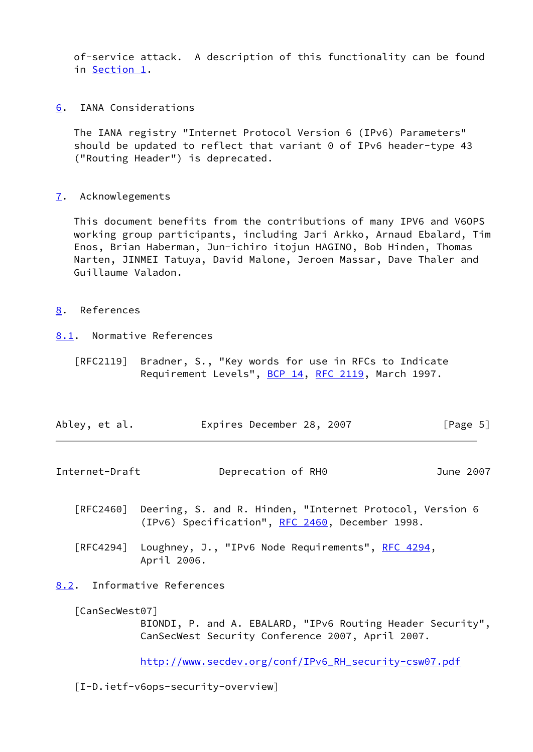of-service attack. A description of this functionality can be found in [Section 1.](#page-2-0)

<span id="page-5-0"></span>[6](#page-5-0). IANA Considerations

 The IANA registry "Internet Protocol Version 6 (IPv6) Parameters" should be updated to reflect that variant 0 of IPv6 header-type 43 ("Routing Header") is deprecated.

<span id="page-5-1"></span>[7](#page-5-1). Acknowlegements

 This document benefits from the contributions of many IPV6 and V6OPS working group participants, including Jari Arkko, Arnaud Ebalard, Tim Enos, Brian Haberman, Jun-ichiro itojun HAGINO, Bob Hinden, Thomas Narten, JINMEI Tatuya, David Malone, Jeroen Massar, Dave Thaler and Guillaume Valadon.

- <span id="page-5-2"></span>[8](#page-5-2). References
- <span id="page-5-3"></span>[8.1](#page-5-3). Normative References
	- [RFC2119] Bradner, S., "Key words for use in RFCs to Indicate Requirement Levels", [BCP 14](https://datatracker.ietf.org/doc/pdf/bcp14), [RFC 2119](https://datatracker.ietf.org/doc/pdf/rfc2119), March 1997.

| Abley, et al. | Expires December 28, 2007 | [Page 5] |
|---------------|---------------------------|----------|
|               |                           |          |

<span id="page-5-5"></span>Internet-Draft Deprecation of RH0 June 2007

- [RFC2460] Deering, S. and R. Hinden, "Internet Protocol, Version 6 (IPv6) Specification", [RFC 2460](https://datatracker.ietf.org/doc/pdf/rfc2460), December 1998.
- [RFC4294] Loughney, J., "IPv6 Node Requirements", [RFC 4294,](https://datatracker.ietf.org/doc/pdf/rfc4294) April 2006.
- <span id="page-5-4"></span>[8.2](#page-5-4). Informative References

<span id="page-5-6"></span>[CanSecWest07]

 BIONDI, P. and A. EBALARD, "IPv6 Routing Header Security", CanSecWest Security Conference 2007, April 2007.

[http://www.secdev.org/conf/IPv6\\_RH\\_security-csw07.pdf](http://www.secdev.org/conf/IPv6_RH_security-csw07.pdf)

<span id="page-5-7"></span>[I-D.ietf-v6ops-security-overview]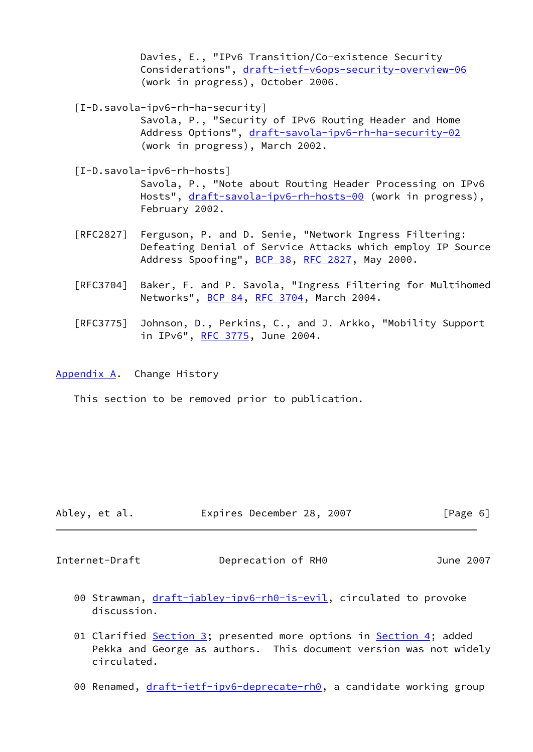Davies, E., "IPv6 Transition/Co-existence Security Considerations", [draft-ietf-v6ops-security-overview-06](https://datatracker.ietf.org/doc/pdf/draft-ietf-v6ops-security-overview-06) (work in progress), October 2006.

<span id="page-6-2"></span>[I-D.savola-ipv6-rh-ha-security]

 Savola, P., "Security of IPv6 Routing Header and Home Address Options", [draft-savola-ipv6-rh-ha-security-02](https://datatracker.ietf.org/doc/pdf/draft-savola-ipv6-rh-ha-security-02) (work in progress), March 2002.

<span id="page-6-3"></span>[I-D.savola-ipv6-rh-hosts]

 Savola, P., "Note about Routing Header Processing on IPv6 Hosts", [draft-savola-ipv6-rh-hosts-00](https://datatracker.ietf.org/doc/pdf/draft-savola-ipv6-rh-hosts-00) (work in progress), February 2002.

- [RFC2827] Ferguson, P. and D. Senie, "Network Ingress Filtering: Defeating Denial of Service Attacks which employ IP Source Address Spoofing", [BCP 38](https://datatracker.ietf.org/doc/pdf/bcp38), [RFC 2827](https://datatracker.ietf.org/doc/pdf/rfc2827), May 2000.
- [RFC3704] Baker, F. and P. Savola, "Ingress Filtering for Multihomed Networks", [BCP 84](https://datatracker.ietf.org/doc/pdf/bcp84), [RFC 3704](https://datatracker.ietf.org/doc/pdf/rfc3704), March 2004.
- [RFC3775] Johnson, D., Perkins, C., and J. Arkko, "Mobility Support in IPv6", [RFC 3775](https://datatracker.ietf.org/doc/pdf/rfc3775), June 2004.

<span id="page-6-0"></span>[Appendix A.](#page-6-0) Change History

This section to be removed prior to publication.

|  | Abley, et al. | Expires December 28, 2007 |  |  | [Page 6] |  |
|--|---------------|---------------------------|--|--|----------|--|
|--|---------------|---------------------------|--|--|----------|--|

<span id="page-6-1"></span>Internet-Draft Deprecation of RH0 June 2007

- 00 Strawman, [draft-jabley-ipv6-rh0-is-evil](https://datatracker.ietf.org/doc/pdf/draft-jabley-ipv6-rh0-is-evil), circulated to provoke discussion.
- 01 Clarified [Section 3](#page-3-2); presented more options in [Section 4;](#page-4-0) added Pekka and George as authors. This document version was not widely circulated.
- 00 Renamed, [draft-ietf-ipv6-deprecate-rh0,](https://datatracker.ietf.org/doc/pdf/draft-ietf-ipv6-deprecate-rh0) a candidate working group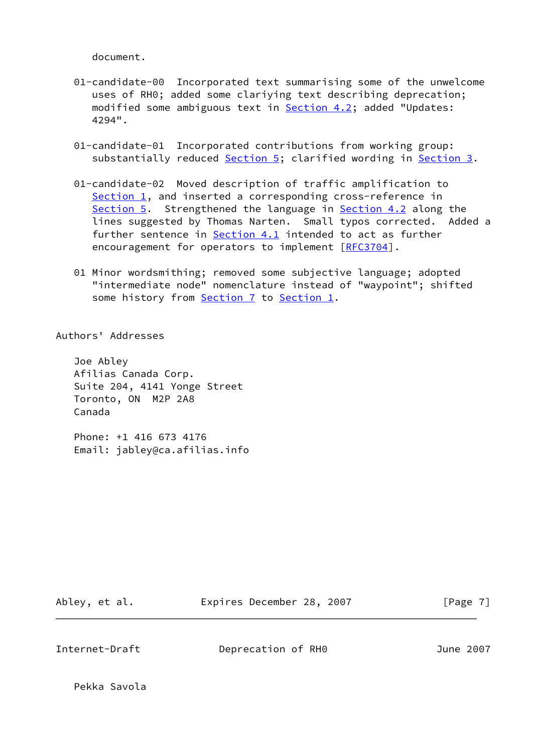document.

- 01-candidate-00 Incorporated text summarising some of the unwelcome uses of RH0; added some clariying text describing deprecation; modified some ambiguous text in **[Section 4.2](#page-4-2)**; added "Updates: 4294".
- 01-candidate-01 Incorporated contributions from working group: substantially reduced [Section 5](#page-4-3); clarified wording in [Section 3](#page-3-2).
- 01-candidate-02 Moved description of traffic amplification to [Section 1,](#page-2-0) and inserted a corresponding cross-reference in [Section 5.](#page-4-3) Strengthened the language in [Section 4.2](#page-4-2) along the lines suggested by Thomas Narten. Small typos corrected. Added a further sentence in **[Section 4.1](#page-4-1)** intended to act as further encouragement for operators to implement [\[RFC3704](https://datatracker.ietf.org/doc/pdf/rfc3704)].
- 01 Minor wordsmithing; removed some subjective language; adopted "intermediate node" nomenclature instead of "waypoint"; shifted some history from [Section 7](#page-5-1) to [Section 1.](#page-2-0)

Authors' Addresses

 Joe Abley Afilias Canada Corp. Suite 204, 4141 Yonge Street Toronto, ON M2P 2A8 Canada

 Phone: +1 416 673 4176 Email: jabley@ca.afilias.info

Abley, et al. **Expires December 28, 2007** [Page 7]

Internet-Draft Deprecation of RH0 June 2007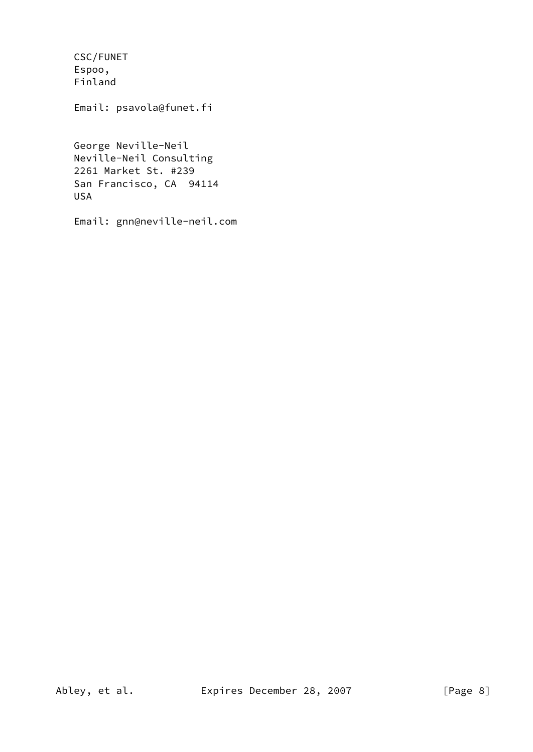CSC/FUNET Espoo, Finland

Email: psavola@funet.fi

 George Neville-Neil Neville-Neil Consulting 2261 Market St. #239 San Francisco, CA 94114 USA

Email: gnn@neville-neil.com